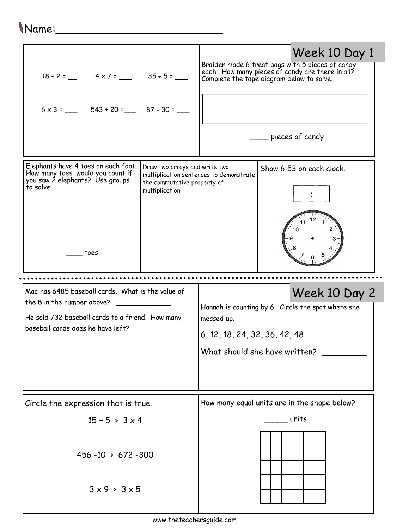## Name:\_\_\_\_\_\_\_\_\_\_\_\_\_\_\_\_\_\_\_\_\_\_\_\_\_

| $18 \div 2 =$ $4 \times 7 =$ $35 \div 5 =$                                                                              |                                                                                                                            |                               | Week 10 Day 1<br>Braiden made 6 treat bags with 5 pieces of candy<br>each. How many pieces of candy are there in all?<br>Complete the tape diagram below to solve. |  |  |
|-------------------------------------------------------------------------------------------------------------------------|----------------------------------------------------------------------------------------------------------------------------|-------------------------------|--------------------------------------------------------------------------------------------------------------------------------------------------------------------|--|--|
| $6 \times 3 =$ 543 + 20 = 87 - 30 =                                                                                     |                                                                                                                            |                               |                                                                                                                                                                    |  |  |
|                                                                                                                         |                                                                                                                            |                               | ____ pieces of candy                                                                                                                                               |  |  |
| Elephants have 4 toes on each foot.<br>How many toes would you count if<br>you saw 2 elephants? Use groups<br>to solve. | Draw two arrays and write two<br>multiplication sentences to demonstrate<br>the commutative property of<br>multiplication. |                               | Show 6:53 on each clock.                                                                                                                                           |  |  |
| toes                                                                                                                    |                                                                                                                            |                               |                                                                                                                                                                    |  |  |
|                                                                                                                         |                                                                                                                            |                               |                                                                                                                                                                    |  |  |
|                                                                                                                         |                                                                                                                            |                               |                                                                                                                                                                    |  |  |
| Mac has 6485 baseball cards. What is the value of                                                                       |                                                                                                                            |                               |                                                                                                                                                                    |  |  |
| the 8 in the number above?                                                                                              |                                                                                                                            |                               | Week 10 Day 2<br>Hannah is counting by 6. Circle the spot where she                                                                                                |  |  |
| He sold 732 baseball cards to a friend. How many                                                                        |                                                                                                                            | messed up.                    |                                                                                                                                                                    |  |  |
| baseball cards does he have left?                                                                                       |                                                                                                                            | 6, 12, 18, 24, 32, 36, 42, 48 |                                                                                                                                                                    |  |  |
|                                                                                                                         |                                                                                                                            |                               | What should she have written?                                                                                                                                      |  |  |
|                                                                                                                         |                                                                                                                            |                               |                                                                                                                                                                    |  |  |
| Circle the expression that is true.                                                                                     |                                                                                                                            |                               | How many equal units are in the shape below?                                                                                                                       |  |  |
| $15 \div 5 > 3 \times 4$                                                                                                |                                                                                                                            |                               | units                                                                                                                                                              |  |  |
| 456 -10 > 672 -300                                                                                                      |                                                                                                                            |                               |                                                                                                                                                                    |  |  |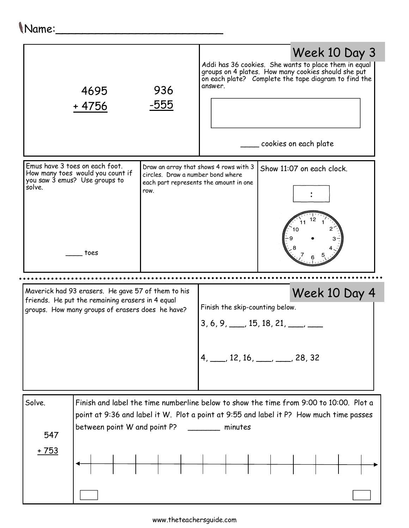## Name:\_\_\_\_\_\_\_\_\_\_\_\_\_\_\_\_\_\_\_\_\_\_\_\_\_

|                                                                                                      | 4695<br>+ 4756                                                                                                                     | 936<br>-555                               | answer.                                                                          | Week 10 Day 3<br>Addi has 36 cookies. She wants to place them in equal<br>groups on 4 plates. How many cookies should she put<br>on each plate? Complete the tape diagram to find the<br>cookies on each plate |  |
|------------------------------------------------------------------------------------------------------|------------------------------------------------------------------------------------------------------------------------------------|-------------------------------------------|----------------------------------------------------------------------------------|----------------------------------------------------------------------------------------------------------------------------------------------------------------------------------------------------------------|--|
| solve.                                                                                               | Emus have 3 toes on each foot.<br>How many toes would you count if<br>you saw 3 emus? Use groups to<br>toes                        | circles. Draw a number bond where<br>row. | Draw an array that shows 4 rows with 3<br>each part represents the amount in one | Show 11:07 on each clock.                                                                                                                                                                                      |  |
| Maverick had 93 erasers. He gave 57 of them to his                                                   |                                                                                                                                    |                                           |                                                                                  |                                                                                                                                                                                                                |  |
| friends. He put the remaining erasers in 4 equal<br>groups. How many groups of erasers does he have? |                                                                                                                                    |                                           | Week 10 Day 4<br>Finish the skip-counting below.                                 |                                                                                                                                                                                                                |  |
|                                                                                                      |                                                                                                                                    |                                           | $3, 6, 9, \underline{\hspace{1cm}} 15, 18, 21, \underline{\hspace{1cm}}$         |                                                                                                                                                                                                                |  |
|                                                                                                      |                                                                                                                                    |                                           |                                                                                  | $4, \_\_\_\$ 12, 16, $\_\_\_\_\_\$ 28, 32                                                                                                                                                                      |  |
| Solve.                                                                                               | Finish and label the time numberline below to show the time from 9:00 to 10:00. Plot a                                             |                                           |                                                                                  |                                                                                                                                                                                                                |  |
| 547                                                                                                  | point at 9:36 and label it W. Plot a point at 9:55 and label it P? How much time passes<br>between point W and point P?<br>minutes |                                           |                                                                                  |                                                                                                                                                                                                                |  |
| <u>+ 753</u>                                                                                         |                                                                                                                                    |                                           |                                                                                  |                                                                                                                                                                                                                |  |
|                                                                                                      |                                                                                                                                    |                                           |                                                                                  |                                                                                                                                                                                                                |  |